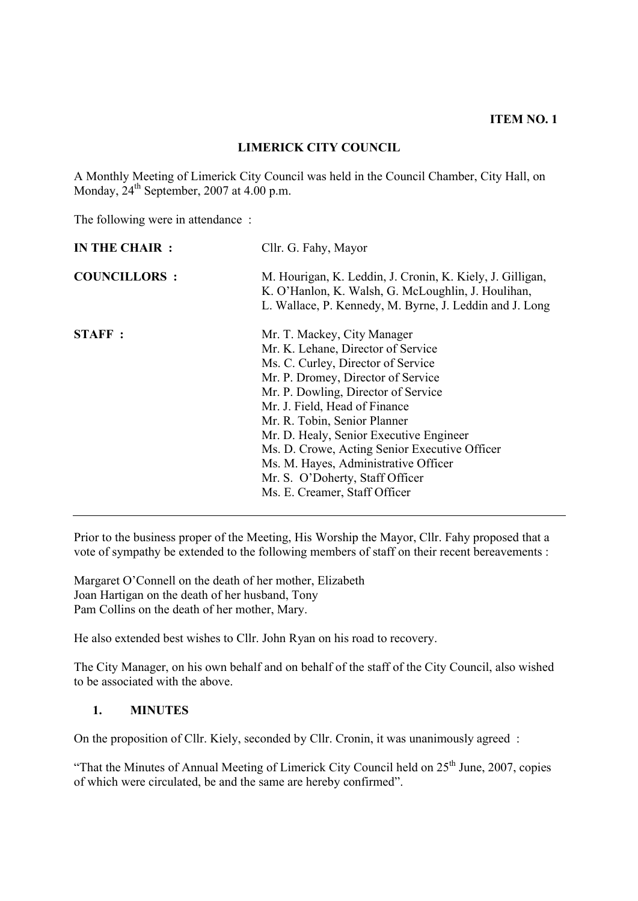# **LIMERICK CITY COUNCIL**

A Monthly Meeting of Limerick City Council was held in the Council Chamber, City Hall, on Monday,  $24^{th}$  September, 2007 at 4.00 p.m.

The following were in attendance :

| IN THE CHAIR :      | Cllr. G. Fahy, Mayor                                                                                                                                                                                                                                                                                                                                                                                                                                          |  |
|---------------------|---------------------------------------------------------------------------------------------------------------------------------------------------------------------------------------------------------------------------------------------------------------------------------------------------------------------------------------------------------------------------------------------------------------------------------------------------------------|--|
| <b>COUNCILLORS:</b> | M. Hourigan, K. Leddin, J. Cronin, K. Kiely, J. Gilligan,<br>K. O'Hanlon, K. Walsh, G. McLoughlin, J. Houlihan,<br>L. Wallace, P. Kennedy, M. Byrne, J. Leddin and J. Long                                                                                                                                                                                                                                                                                    |  |
| <b>STAFF:</b>       | Mr. T. Mackey, City Manager<br>Mr. K. Lehane, Director of Service<br>Ms. C. Curley, Director of Service<br>Mr. P. Dromey, Director of Service<br>Mr. P. Dowling, Director of Service<br>Mr. J. Field, Head of Finance<br>Mr. R. Tobin, Senior Planner<br>Mr. D. Healy, Senior Executive Engineer<br>Ms. D. Crowe, Acting Senior Executive Officer<br>Ms. M. Hayes, Administrative Officer<br>Mr. S. O'Doherty, Staff Officer<br>Ms. E. Creamer, Staff Officer |  |

Prior to the business proper of the Meeting, His Worship the Mayor, Cllr. Fahy proposed that a vote of sympathy be extended to the following members of staff on their recent bereavements :

Margaret O'Connell on the death of her mother, Elizabeth Joan Hartigan on the death of her husband, Tony Pam Collins on the death of her mother, Mary.

He also extended best wishes to Cllr. John Ryan on his road to recovery.

The City Manager, on his own behalf and on behalf of the staff of the City Council, also wished to be associated with the above.

#### **1. MINUTES**

On the proposition of Cllr. Kiely, seconded by Cllr. Cronin, it was unanimously agreed :

"That the Minutes of Annual Meeting of Limerick City Council held on  $25<sup>th</sup>$  June, 2007, copies of which were circulated, be and the same are hereby confirmed".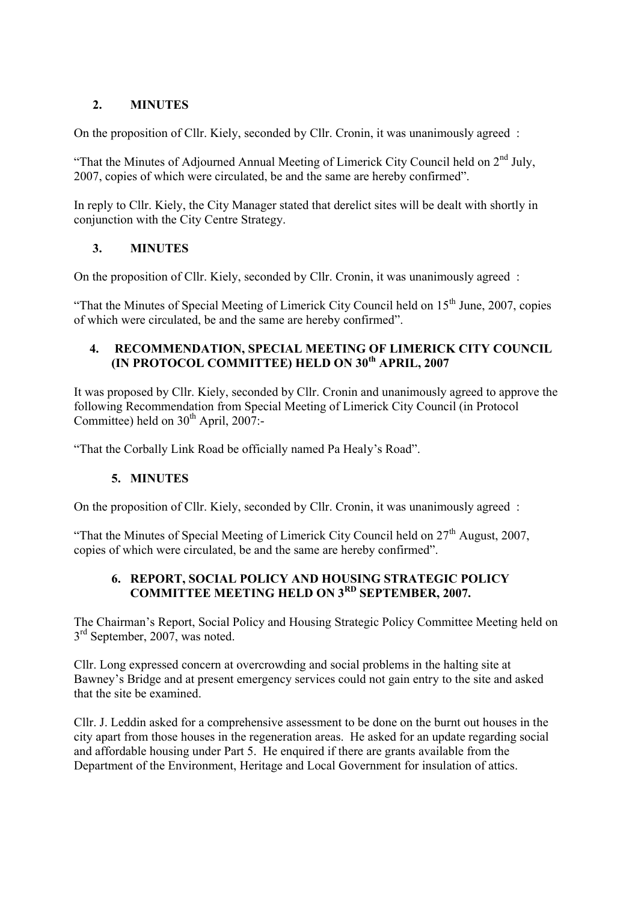# **2. MINUTES**

On the proposition of Cllr. Kiely, seconded by Cllr. Cronin, it was unanimously agreed :

"That the Minutes of Adjourned Annual Meeting of Limerick City Council held on  $2<sup>nd</sup>$  July, 2007, copies of which were circulated, be and the same are hereby confirmed".

In reply to Cllr. Kiely, the City Manager stated that derelict sites will be dealt with shortly in conjunction with the City Centre Strategy.

# **3. MINUTES**

On the proposition of Cllr. Kiely, seconded by Cllr. Cronin, it was unanimously agreed :

"That the Minutes of Special Meeting of Limerick City Council held on  $15<sup>th</sup>$  June, 2007, copies of which were circulated, be and the same are hereby confirmed".

## **4. RECOMMENDATION, SPECIAL MEETING OF LIMERICK CITY COUNCIL (IN PROTOCOL COMMITTEE) HELD ON 30th APRIL, 2007**

It was proposed by Cllr. Kiely, seconded by Cllr. Cronin and unanimously agreed to approve the following Recommendation from Special Meeting of Limerick City Council (in Protocol Committee) held on  $30<sup>th</sup>$  April, 2007:-

"That the Corbally Link Road be officially named Pa Healy's Road".

# **5. MINUTES**

On the proposition of Cllr. Kiely, seconded by Cllr. Cronin, it was unanimously agreed :

"That the Minutes of Special Meeting of Limerick City Council held on  $27<sup>th</sup>$  August, 2007, copies of which were circulated, be and the same are hereby confirmed".

# **6. REPORT, SOCIAL POLICY AND HOUSING STRATEGIC POLICY COMMITTEE MEETING HELD ON 3RD SEPTEMBER, 2007.**

The Chairman's Report, Social Policy and Housing Strategic Policy Committee Meeting held on 3<sup>rd</sup> September, 2007, was noted.

Cllr. Long expressed concern at overcrowding and social problems in the halting site at Bawney's Bridge and at present emergency services could not gain entry to the site and asked that the site be examined.

Cllr. J. Leddin asked for a comprehensive assessment to be done on the burnt out houses in the city apart from those houses in the regeneration areas. He asked for an update regarding social and affordable housing under Part 5. He enquired if there are grants available from the Department of the Environment, Heritage and Local Government for insulation of attics.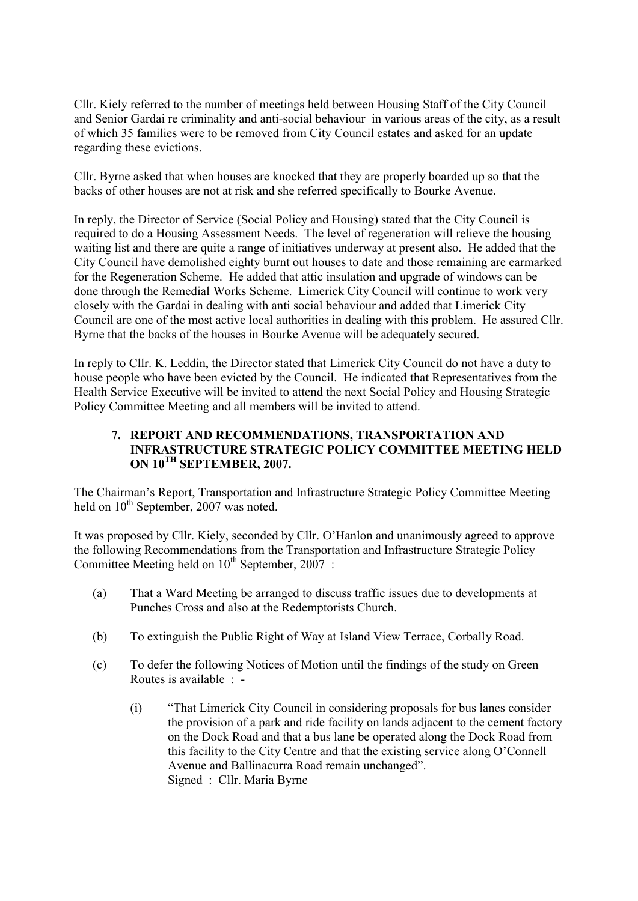Cllr. Kiely referred to the number of meetings held between Housing Staff of the City Council and Senior Gardai re criminality and anti-social behaviour in various areas of the city, as a result of which 35 families were to be removed from City Council estates and asked for an update regarding these evictions.

Cllr. Byrne asked that when houses are knocked that they are properly boarded up so that the backs of other houses are not at risk and she referred specifically to Bourke Avenue.

In reply, the Director of Service (Social Policy and Housing) stated that the City Council is required to do a Housing Assessment Needs. The level of regeneration will relieve the housing waiting list and there are quite a range of initiatives underway at present also. He added that the City Council have demolished eighty burnt out houses to date and those remaining are earmarked for the Regeneration Scheme. He added that attic insulation and upgrade of windows can be done through the Remedial Works Scheme. Limerick City Council will continue to work very closely with the Gardai in dealing with anti social behaviour and added that Limerick City Council are one of the most active local authorities in dealing with this problem. He assured Cllr. Byrne that the backs of the houses in Bourke Avenue will be adequately secured.

In reply to Cllr. K. Leddin, the Director stated that Limerick City Council do not have a duty to house people who have been evicted by the Council. He indicated that Representatives from the Health Service Executive will be invited to attend the next Social Policy and Housing Strategic Policy Committee Meeting and all members will be invited to attend.

### **7. REPORT AND RECOMMENDATIONS, TRANSPORTATION AND INFRASTRUCTURE STRATEGIC POLICY COMMITTEE MEETING HELD ON 10TH SEPTEMBER, 2007.**

The Chairman's Report, Transportation and Infrastructure Strategic Policy Committee Meeting held on  $10^{th}$  September, 2007 was noted.

It was proposed by Cllr. Kiely, seconded by Cllr. O'Hanlon and unanimously agreed to approve the following Recommendations from the Transportation and Infrastructure Strategic Policy Committee Meeting held on  $10^{th}$  September, 2007 :

- (a) That a Ward Meeting be arranged to discuss traffic issues due to developments at Punches Cross and also at the Redemptorists Church.
- (b) To extinguish the Public Right of Way at Island View Terrace, Corbally Road.
- (c) To defer the following Notices of Motion until the findings of the study on Green Routes is available : -
	- (i) "That Limerick City Council in considering proposals for bus lanes consider the provision of a park and ride facility on lands adjacent to the cement factory on the Dock Road and that a bus lane be operated along the Dock Road from this facility to the City Centre and that the existing service along O'Connell Avenue and Ballinacurra Road remain unchanged". Signed : Cllr. Maria Byrne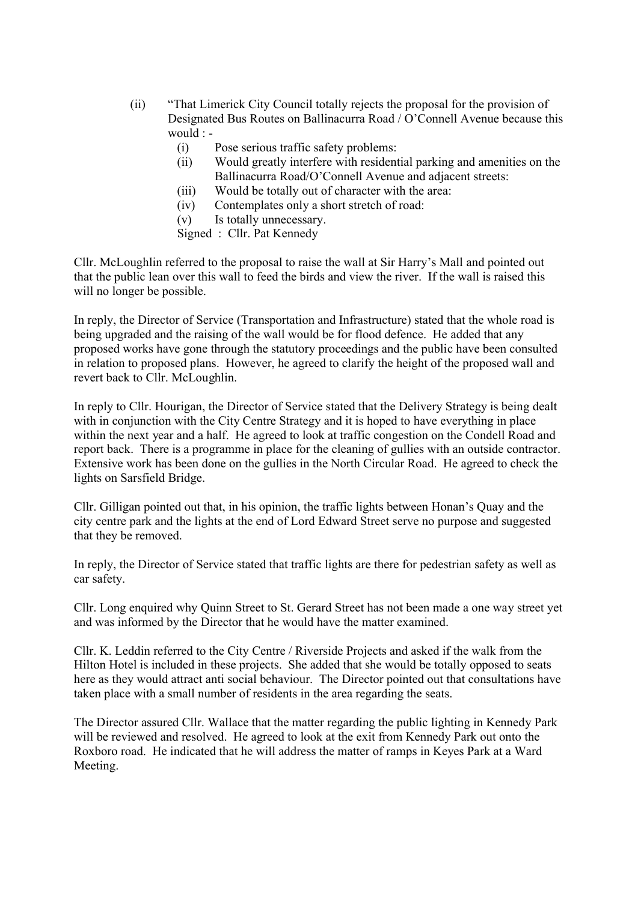- (ii) "That Limerick City Council totally rejects the proposal for the provision of Designated Bus Routes on Ballinacurra Road / O'Connell Avenue because this would : -
	- (i) Pose serious traffic safety problems:
	- (ii) Would greatly interfere with residential parking and amenities on the Ballinacurra Road/O'Connell Avenue and adjacent streets:
	- (iii) Would be totally out of character with the area:
	- (iv) Contemplates only a short stretch of road:
	- (v) Is totally unnecessary.
	- Signed : Cllr. Pat Kennedy

Cllr. McLoughlin referred to the proposal to raise the wall at Sir Harry's Mall and pointed out that the public lean over this wall to feed the birds and view the river. If the wall is raised this will no longer be possible.

In reply, the Director of Service (Transportation and Infrastructure) stated that the whole road is being upgraded and the raising of the wall would be for flood defence. He added that any proposed works have gone through the statutory proceedings and the public have been consulted in relation to proposed plans. However, he agreed to clarify the height of the proposed wall and revert back to Cllr. McLoughlin.

In reply to Cllr. Hourigan, the Director of Service stated that the Delivery Strategy is being dealt with in conjunction with the City Centre Strategy and it is hoped to have everything in place within the next year and a half. He agreed to look at traffic congestion on the Condell Road and report back. There is a programme in place for the cleaning of gullies with an outside contractor. Extensive work has been done on the gullies in the North Circular Road. He agreed to check the lights on Sarsfield Bridge.

Cllr. Gilligan pointed out that, in his opinion, the traffic lights between Honan's Quay and the city centre park and the lights at the end of Lord Edward Street serve no purpose and suggested that they be removed.

In reply, the Director of Service stated that traffic lights are there for pedestrian safety as well as car safety.

Cllr. Long enquired why Quinn Street to St. Gerard Street has not been made a one way street yet and was informed by the Director that he would have the matter examined.

Cllr. K. Leddin referred to the City Centre / Riverside Projects and asked if the walk from the Hilton Hotel is included in these projects. She added that she would be totally opposed to seats here as they would attract anti social behaviour. The Director pointed out that consultations have taken place with a small number of residents in the area regarding the seats.

The Director assured Cllr. Wallace that the matter regarding the public lighting in Kennedy Park will be reviewed and resolved. He agreed to look at the exit from Kennedy Park out onto the Roxboro road. He indicated that he will address the matter of ramps in Keyes Park at a Ward Meeting.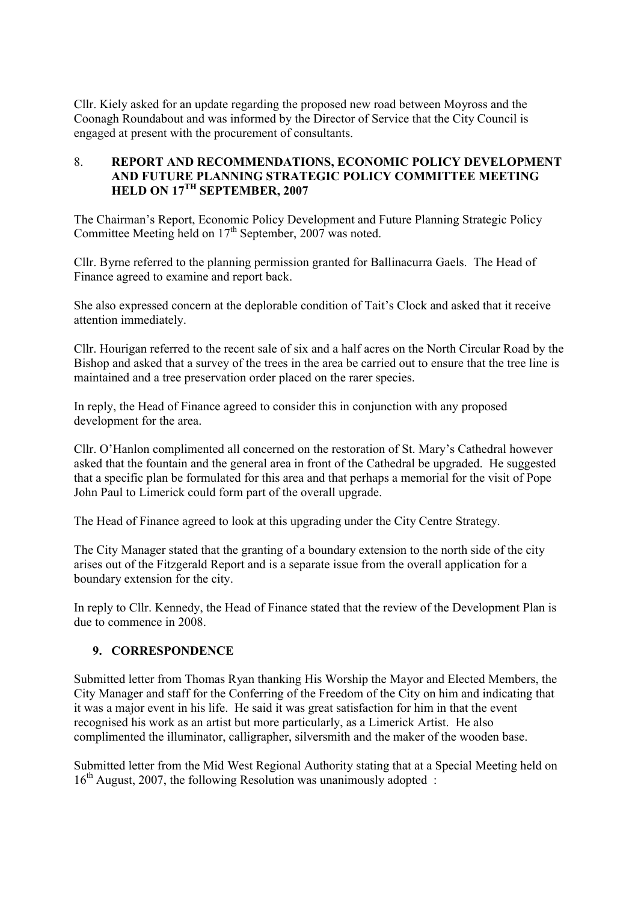Cllr. Kiely asked for an update regarding the proposed new road between Moyross and the Coonagh Roundabout and was informed by the Director of Service that the City Council is engaged at present with the procurement of consultants.

## 8. **REPORT AND RECOMMENDATIONS, ECONOMIC POLICY DEVELOPMENT AND FUTURE PLANNING STRATEGIC POLICY COMMITTEE MEETING HELD ON 17TH SEPTEMBER, 2007**

The Chairman's Report, Economic Policy Development and Future Planning Strategic Policy Committee Meeting held on  $17<sup>th</sup>$  September, 2007 was noted.

Cllr. Byrne referred to the planning permission granted for Ballinacurra Gaels. The Head of Finance agreed to examine and report back.

She also expressed concern at the deplorable condition of Tait's Clock and asked that it receive attention immediately.

Cllr. Hourigan referred to the recent sale of six and a half acres on the North Circular Road by the Bishop and asked that a survey of the trees in the area be carried out to ensure that the tree line is maintained and a tree preservation order placed on the rarer species.

In reply, the Head of Finance agreed to consider this in conjunction with any proposed development for the area.

Cllr. O'Hanlon complimented all concerned on the restoration of St. Mary's Cathedral however asked that the fountain and the general area in front of the Cathedral be upgraded. He suggested that a specific plan be formulated for this area and that perhaps a memorial for the visit of Pope John Paul to Limerick could form part of the overall upgrade.

The Head of Finance agreed to look at this upgrading under the City Centre Strategy.

The City Manager stated that the granting of a boundary extension to the north side of the city arises out of the Fitzgerald Report and is a separate issue from the overall application for a boundary extension for the city.

In reply to Cllr. Kennedy, the Head of Finance stated that the review of the Development Plan is due to commence in 2008.

# **9. CORRESPONDENCE**

Submitted letter from Thomas Ryan thanking His Worship the Mayor and Elected Members, the City Manager and staff for the Conferring of the Freedom of the City on him and indicating that it was a major event in his life. He said it was great satisfaction for him in that the event recognised his work as an artist but more particularly, as a Limerick Artist. He also complimented the illuminator, calligrapher, silversmith and the maker of the wooden base.

Submitted letter from the Mid West Regional Authority stating that at a Special Meeting held on  $16<sup>th</sup>$  August, 2007, the following Resolution was unanimously adopted :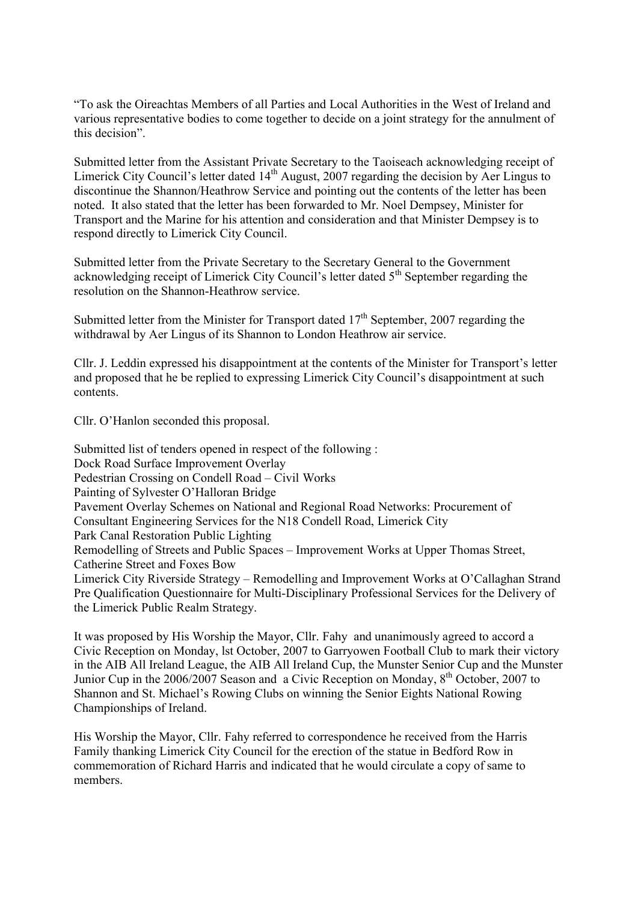"To ask the Oireachtas Members of all Parties and Local Authorities in the West of Ireland and various representative bodies to come together to decide on a joint strategy for the annulment of this decision".

Submitted letter from the Assistant Private Secretary to the Taoiseach acknowledging receipt of Limerick City Council's letter dated  $14<sup>th</sup>$  August, 2007 regarding the decision by Aer Lingus to discontinue the Shannon/Heathrow Service and pointing out the contents of the letter has been noted. It also stated that the letter has been forwarded to Mr. Noel Dempsey, Minister for Transport and the Marine for his attention and consideration and that Minister Dempsey is to respond directly to Limerick City Council.

Submitted letter from the Private Secretary to the Secretary General to the Government acknowledging receipt of Limerick City Council's letter dated  $5<sup>th</sup>$  September regarding the resolution on the Shannon-Heathrow service.

Submitted letter from the Minister for Transport dated  $17<sup>th</sup>$  September, 2007 regarding the withdrawal by Aer Lingus of its Shannon to London Heathrow air service.

Cllr. J. Leddin expressed his disappointment at the contents of the Minister for Transport's letter and proposed that he be replied to expressing Limerick City Council's disappointment at such contents.

Cllr. O'Hanlon seconded this proposal.

Submitted list of tenders opened in respect of the following : Dock Road Surface Improvement Overlay Pedestrian Crossing on Condell Road – Civil Works Painting of Sylvester O'Halloran Bridge Pavement Overlay Schemes on National and Regional Road Networks: Procurement of Consultant Engineering Services for the N18 Condell Road, Limerick City Park Canal Restoration Public Lighting Remodelling of Streets and Public Spaces – Improvement Works at Upper Thomas Street, Catherine Street and Foxes Bow Limerick City Riverside Strategy – Remodelling and Improvement Works at O'Callaghan Strand Pre Qualification Questionnaire for Multi-Disciplinary Professional Services for the Delivery of the Limerick Public Realm Strategy.

It was proposed by His Worship the Mayor, Cllr. Fahy and unanimously agreed to accord a Civic Reception on Monday, lst October, 2007 to Garryowen Football Club to mark their victory in the AIB All Ireland League, the AIB All Ireland Cup, the Munster Senior Cup and the Munster Junior Cup in the 2006/2007 Season and a Civic Reception on Monday, 8<sup>th</sup> October, 2007 to Shannon and St. Michael's Rowing Clubs on winning the Senior Eights National Rowing Championships of Ireland.

His Worship the Mayor, Cllr. Fahy referred to correspondence he received from the Harris Family thanking Limerick City Council for the erection of the statue in Bedford Row in commemoration of Richard Harris and indicated that he would circulate a copy of same to members.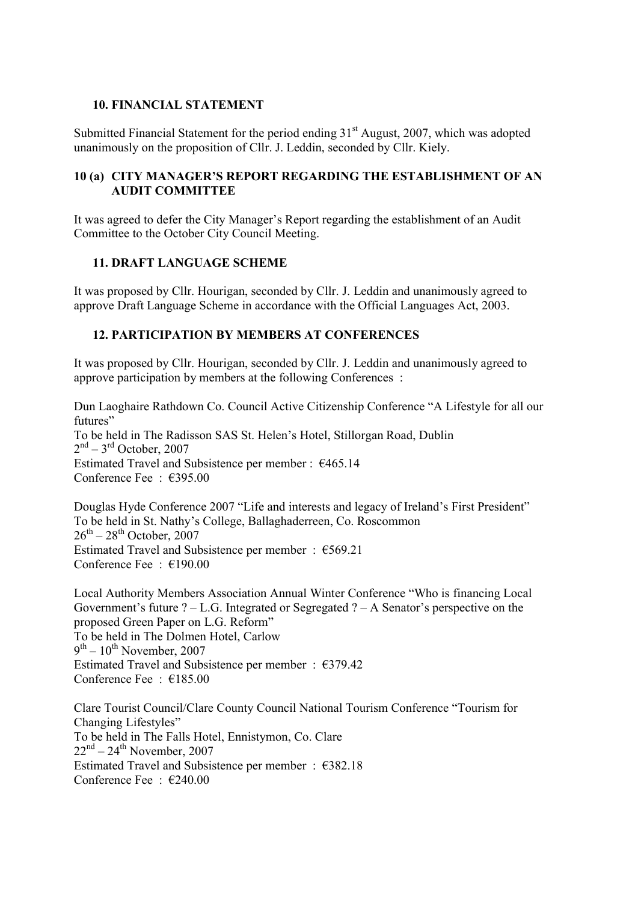## **10. FINANCIAL STATEMENT**

Submitted Financial Statement for the period ending  $31<sup>st</sup>$  August, 2007, which was adopted unanimously on the proposition of Cllr. J. Leddin, seconded by Cllr. Kiely.

## **10 (a) CITY MANAGER'S REPORT REGARDING THE ESTABLISHMENT OF AN AUDIT COMMITTEE**

It was agreed to defer the City Manager's Report regarding the establishment of an Audit Committee to the October City Council Meeting.

## **11. DRAFT LANGUAGE SCHEME**

It was proposed by Cllr. Hourigan, seconded by Cllr. J. Leddin and unanimously agreed to approve Draft Language Scheme in accordance with the Official Languages Act, 2003.

## **12. PARTICIPATION BY MEMBERS AT CONFERENCES**

It was proposed by Cllr. Hourigan, seconded by Cllr. J. Leddin and unanimously agreed to approve participation by members at the following Conferences :

Dun Laoghaire Rathdown Co. Council Active Citizenship Conference "A Lifestyle for all our futures" To be held in The Radisson SAS St. Helen's Hotel, Stillorgan Road, Dublin  $2<sup>nd</sup> - 3<sup>rd</sup>$  October, 2007 Estimated Travel and Subsistence per member :  $€465.14$ Conference Fee : €395.00

Douglas Hyde Conference 2007 "Life and interests and legacy of Ireland's First President" To be held in St. Nathy's College, Ballaghaderreen, Co. Roscommon  $26^{th}$  –  $28^{th}$  October, 2007 Estimated Travel and Subsistence per member : €569.21 Conference Fee : €190.00

Local Authority Members Association Annual Winter Conference "Who is financing Local Government's future  $? - L.G.$  Integrated or Segregated  $? - A$  Senator's perspective on the proposed Green Paper on L.G. Reform" To be held in The Dolmen Hotel, Carlow  $9<sup>th</sup> - 10<sup>th</sup>$  November, 2007 Estimated Travel and Subsistence per member :  $€379.42$ Conference Fee : €185.00

Clare Tourist Council/Clare County Council National Tourism Conference "Tourism for Changing Lifestyles" To be held in The Falls Hotel, Ennistymon, Co. Clare  $22<sup>nd</sup> - 24<sup>th</sup>$  November, 2007 Estimated Travel and Subsistence per member : €382.18 Conference Fee : €240.00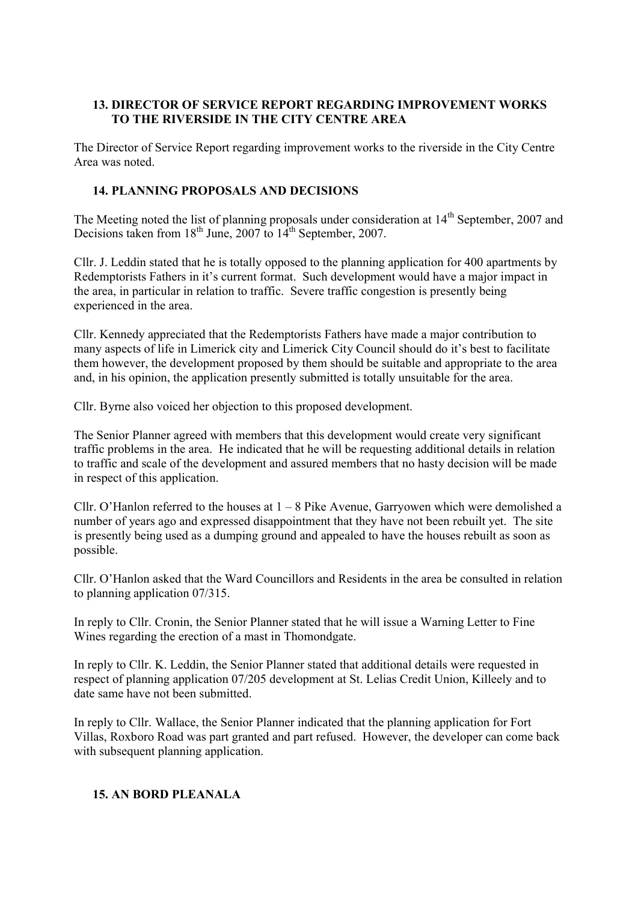# **13. DIRECTOR OF SERVICE REPORT REGARDING IMPROVEMENT WORKS TO THE RIVERSIDE IN THE CITY CENTRE AREA**

The Director of Service Report regarding improvement works to the riverside in the City Centre Area was noted.

## **14. PLANNING PROPOSALS AND DECISIONS**

The Meeting noted the list of planning proposals under consideration at 14<sup>th</sup> September, 2007 and Decisions taken from  $18^{th}$  June, 2007 to  $14^{th}$  September, 2007.

Cllr. J. Leddin stated that he is totally opposed to the planning application for 400 apartments by Redemptorists Fathers in it's current format. Such development would have a major impact in the area, in particular in relation to traffic. Severe traffic congestion is presently being experienced in the area.

Cllr. Kennedy appreciated that the Redemptorists Fathers have made a major contribution to many aspects of life in Limerick city and Limerick City Council should do it's best to facilitate them however, the development proposed by them should be suitable and appropriate to the area and, in his opinion, the application presently submitted is totally unsuitable for the area.

Cllr. Byrne also voiced her objection to this proposed development.

The Senior Planner agreed with members that this development would create very significant traffic problems in the area. He indicated that he will be requesting additional details in relation to traffic and scale of the development and assured members that no hasty decision will be made in respect of this application.

Cllr. O'Hanlon referred to the houses at  $1 - 8$  Pike Avenue, Garryowen which were demolished a number of years ago and expressed disappointment that they have not been rebuilt yet. The site is presently being used as a dumping ground and appealed to have the houses rebuilt as soon as possible.

Cllr. O'Hanlon asked that the Ward Councillors and Residents in the area be consulted in relation to planning application 07/315.

In reply to Cllr. Cronin, the Senior Planner stated that he will issue a Warning Letter to Fine Wines regarding the erection of a mast in Thomondgate.

In reply to Cllr. K. Leddin, the Senior Planner stated that additional details were requested in respect of planning application 07/205 development at St. Lelias Credit Union, Killeely and to date same have not been submitted.

In reply to Cllr. Wallace, the Senior Planner indicated that the planning application for Fort Villas, Roxboro Road was part granted and part refused. However, the developer can come back with subsequent planning application.

### **15. AN BORD PLEANALA**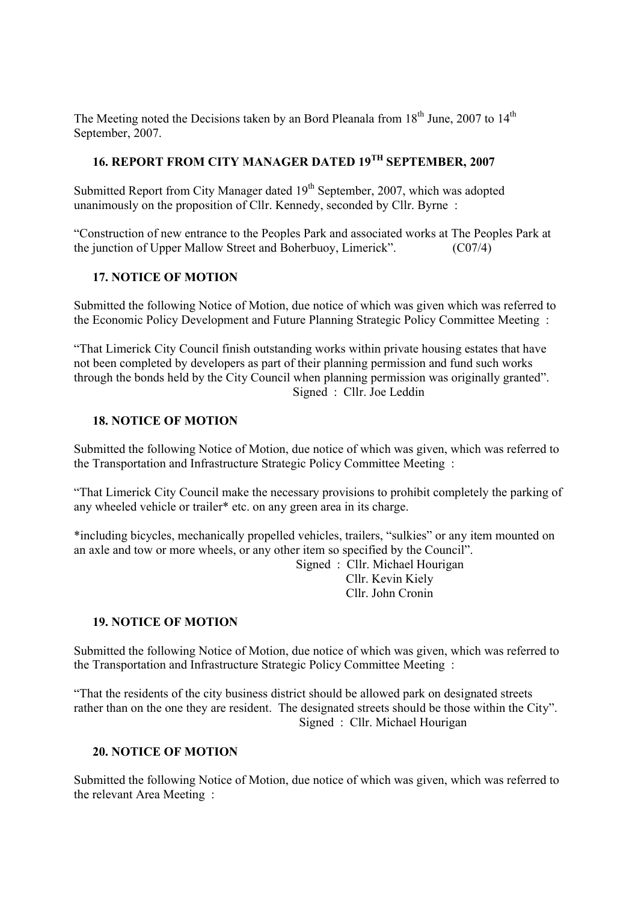The Meeting noted the Decisions taken by an Bord Pleanala from  $18<sup>th</sup>$  June, 2007 to  $14<sup>th</sup>$ September, 2007.

# **16. REPORT FROM CITY MANAGER DATED 19TH SEPTEMBER, 2007**

Submitted Report from City Manager dated  $19<sup>th</sup>$  September, 2007, which was adopted unanimously on the proposition of Cllr. Kennedy, seconded by Cllr. Byrne :

"Construction of new entrance to the Peoples Park and associated works at The Peoples Park at the junction of Upper Mallow Street and Boherbuoy, Limerick". (C07/4)

### **17. NOTICE OF MOTION**

Submitted the following Notice of Motion, due notice of which was given which was referred to the Economic Policy Development and Future Planning Strategic Policy Committee Meeting :

"That Limerick City Council finish outstanding works within private housing estates that have not been completed by developers as part of their planning permission and fund such works through the bonds held by the City Council when planning permission was originally granted". Signed : Cllr. Joe Leddin

### **18. NOTICE OF MOTION**

Submitted the following Notice of Motion, due notice of which was given, which was referred to the Transportation and Infrastructure Strategic Policy Committee Meeting :

"That Limerick City Council make the necessary provisions to prohibit completely the parking of any wheeled vehicle or trailer\* etc. on any green area in its charge.

\*including bicycles, mechanically propelled vehicles, trailers, "sulkies" or any item mounted on an axle and tow or more wheels, or any other item so specified by the Council".

 Signed : Cllr. Michael Hourigan Cllr. Kevin Kiely Cllr. John Cronin

#### **19. NOTICE OF MOTION**

Submitted the following Notice of Motion, due notice of which was given, which was referred to the Transportation and Infrastructure Strategic Policy Committee Meeting :

"That the residents of the city business district should be allowed park on designated streets rather than on the one they are resident. The designated streets should be those within the City". Signed : Cllr. Michael Hourigan

### **20. NOTICE OF MOTION**

Submitted the following Notice of Motion, due notice of which was given, which was referred to the relevant Area Meeting :